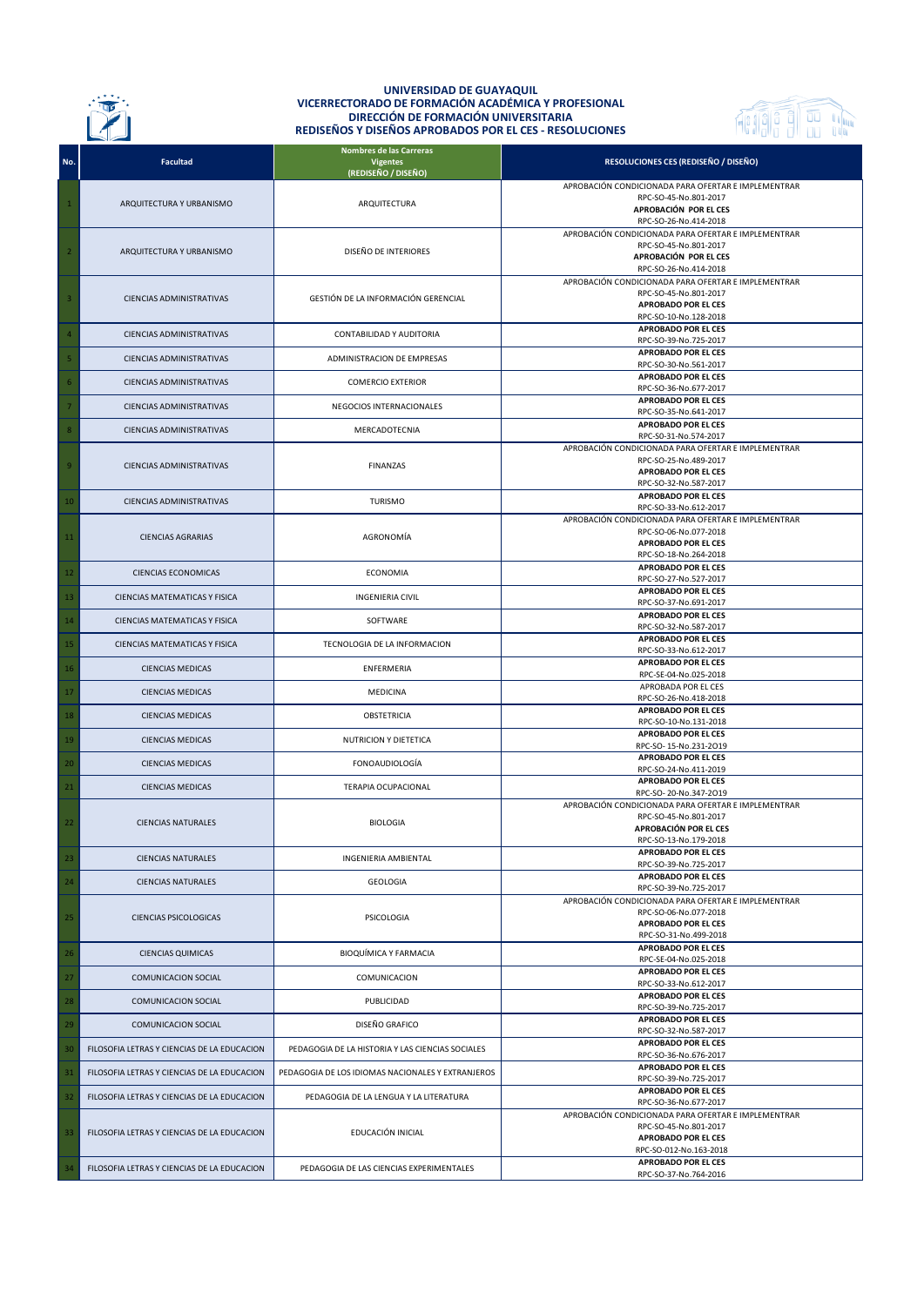

## **UNIVERSIDAD DE GUAYAQUIL VICERRECTORADO DE FORMACIÓN ACADÉMICA Y PROFESIONAL DIRECCIÓN DE FORMACIÓN UNIVERSITARIA REDISEÑOS Y DISEÑOS APROBADOS POR EL CES - RESOLUCIONES**



|                |                                             | <b>Nombres de las Carreras</b>                    |                                                                                                                                      |
|----------------|---------------------------------------------|---------------------------------------------------|--------------------------------------------------------------------------------------------------------------------------------------|
| No.            | <b>Facultad</b>                             | <b>Vigentes</b>                                   | RESOLUCIONES CES (REDISEÑO / DISEÑO)                                                                                                 |
|                |                                             | (REDISEÑO / DISEÑO)                               |                                                                                                                                      |
| $\mathbf 1$    | ARQUITECTURA Y URBANISMO                    | ARQUITECTURA                                      | APROBACIÓN CONDICIONADA PARA OFERTAR E IMPLEMENTRAR<br>RPC-SO-45-No.801-2017<br>APROBACIÓN POR EL CES<br>RPC-SO-26-No.414-2018       |
| $\overline{2}$ | ARQUITECTURA Y URBANISMO                    | DISEÑO DE INTERIORES                              | APROBACIÓN CONDICIONADA PARA OFERTAR E IMPLEMENTRAR<br>RPC-SO-45-No.801-2017<br>APROBACIÓN POR EL CES<br>RPC-SO-26-No.414-2018       |
| 3              | CIENCIAS ADMINISTRATIVAS                    | GESTIÓN DE LA INFORMACIÓN GERENCIAL               | APROBACIÓN CONDICIONADA PARA OFERTAR E IMPLEMENTRAR<br>RPC-SO-45-No.801-2017<br><b>APROBADO POR EL CES</b><br>RPC-SO-10-No.128-2018  |
|                | CIENCIAS ADMINISTRATIVAS                    | CONTABILIDAD Y AUDITORIA                          | <b>APROBADO POR EL CES</b><br>RPC-SO-39-No.725-2017                                                                                  |
|                | <b>CIENCIAS ADMINISTRATIVAS</b>             | ADMINISTRACION DE EMPRESAS                        | <b>APROBADO POR EL CES</b><br>RPC-SO-30-No.561-2017                                                                                  |
| 6              | CIENCIAS ADMINISTRATIVAS                    | <b>COMERCIO EXTERIOR</b>                          | <b>APROBADO POR EL CES</b><br>RPC-SO-36-No.677-2017                                                                                  |
|                | CIENCIAS ADMINISTRATIVAS                    | NEGOCIOS INTERNACIONALES                          | <b>APROBADO POR EL CES</b><br>RPC-SO-35-No.641-2017                                                                                  |
| 8              | CIENCIAS ADMINISTRATIVAS                    | MERCADOTECNIA                                     | <b>APROBADO POR EL CES</b><br>RPC-S0-31-No.574-2017                                                                                  |
| 9              | CIENCIAS ADMINISTRATIVAS                    | <b>FINANZAS</b>                                   | APROBACIÓN CONDICIONADA PARA OFERTAR E IMPLEMENTRAR<br>RPC-SO-25-No.489-2017<br><b>APROBADO POR EL CES</b><br>RPC-SO-32-No.587-2017  |
| 10             | CIENCIAS ADMINISTRATIVAS                    | TURISMO                                           | <b>APROBADO POR EL CES</b><br>RPC-SO-33-No.612-2017                                                                                  |
| 11             | <b>CIENCIAS AGRARIAS</b>                    | AGRONOMÍA                                         | APROBACIÓN CONDICIONADA PARA OFERTAR E IMPLEMENTRAR<br>RPC-SO-06-No.077-2018<br><b>APROBADO POR EL CES</b><br>RPC-SO-18-No.264-2018  |
| 12             | <b>CIENCIAS ECONOMICAS</b>                  | ECONOMIA                                          | <b>APROBADO POR EL CES</b><br>RPC-SO-27-No.527-2017                                                                                  |
| 13             | CIENCIAS MATEMATICAS Y FISICA               | INGENIERIA CIVIL                                  | <b>APROBADO POR EL CES</b><br>RPC-SO-37-No.691-2017                                                                                  |
| 14             | CIENCIAS MATEMATICAS Y FISICA               | SOFTWARE                                          | <b>APROBADO POR EL CES</b><br>RPC-SO-32-No.587-2017                                                                                  |
| 15             | CIENCIAS MATEMATICAS Y FISICA               | TECNOLOGIA DE LA INFORMACION                      | <b>APROBADO POR EL CES</b><br>RPC-SO-33-No.612-2017                                                                                  |
| 16             | <b>CIENCIAS MEDICAS</b>                     | ENFERMERIA                                        | <b>APROBADO POR EL CES</b><br>RPC-SE-04-No.025-2018                                                                                  |
| 17             | <b>CIENCIAS MEDICAS</b>                     | MEDICINA                                          | APROBADA POR EL CES<br>RPC-SO-26-No.418-2018                                                                                         |
| 18             | <b>CIENCIAS MEDICAS</b>                     | OBSTETRICIA                                       | <b>APROBADO POR EL CES</b><br>RPC-SO-10-No.131-2018                                                                                  |
| 19             | <b>CIENCIAS MEDICAS</b>                     | NUTRICION Y DIETETICA                             | <b>APROBADO POR EL CES</b><br>RPC-SO-15-No.231-2019                                                                                  |
| 20             | <b>CIENCIAS MEDICAS</b>                     | <b>FONOAUDIOLOGÍA</b>                             | <b>APROBADO POR EL CES</b><br>RPC-SO-24-No.411-2019                                                                                  |
| 21             | <b>CIENCIAS MEDICAS</b>                     | TERAPIA OCUPACIONAL                               | <b>APROBADO POR EL CES</b><br>RPC-SO-20-No.347-2019                                                                                  |
| 22             | <b>CIENCIAS NATURALES</b>                   | <b>BIOLOGIA</b>                                   | APROBACIÓN CONDICIONADA PARA OFERTAR E IMPLEMENTRAR<br>RPC-SO-45-No.801-2017<br>APROBACIÓN POR EL CES<br>RPC-SO-13-No.179-2018       |
| 23             | <b>CIENCIAS NATURALES</b>                   | INGENIERIA AMBIENTAL                              | <b>APROBADO POR EL CES</b><br>RPC-SO-39-No.725-2017                                                                                  |
| 24             | <b>CIENCIAS NATURALES</b>                   | <b>GEOLOGIA</b>                                   | <b>APROBADO POR EL CES</b><br>RPC-SO-39-No.725-2017                                                                                  |
| 25             | <b>CIENCIAS PSICOLOGICAS</b>                | PSICOLOGIA                                        | APROBACIÓN CONDICIONADA PARA OFERTAR E IMPLEMENTRAR<br>RPC-SO-06-No.077-2018<br><b>APROBADO POR EL CES</b><br>RPC-SO-31-No.499-2018  |
| 26             | <b>CIENCIAS QUIMICAS</b>                    | BIOQUÍMICA Y FARMACIA                             | <b>APROBADO POR EL CES</b><br>RPC-SE-04-No.025-2018                                                                                  |
| <b>27</b>      | <b>COMUNICACION SOCIAL</b>                  | COMUNICACION                                      | <b>APROBADO POR EL CES</b><br>RPC-SO-33-No.612-2017                                                                                  |
| 28             | <b>COMUNICACION SOCIAL</b>                  | PUBLICIDAD                                        | <b>APROBADO POR EL CES</b><br>RPC-SO-39-No.725-2017                                                                                  |
| 29             | <b>COMUNICACION SOCIAL</b>                  | DISEÑO GRAFICO                                    | <b>APROBADO POR EL CES</b><br>RPC-SO-32-No.587-2017                                                                                  |
| 30             | FILOSOFIA LETRAS Y CIENCIAS DE LA EDUCACION | PEDAGOGIA DE LA HISTORIA Y LAS CIENCIAS SOCIALES  | <b>APROBADO POR EL CES</b><br>RPC-SO-36-No.676-2017                                                                                  |
| 31             | FILOSOFIA LETRAS Y CIENCIAS DE LA EDUCACION | PEDAGOGIA DE LOS IDIOMAS NACIONALES Y EXTRANJEROS | <b>APROBADO POR EL CES</b><br>RPC-SO-39-No.725-2017                                                                                  |
| 32             | FILOSOFIA LETRAS Y CIENCIAS DE LA EDUCACION | PEDAGOGIA DE LA LENGUA Y LA LITERATURA            | <b>APROBADO POR EL CES</b><br>RPC-SO-36-No.677-2017                                                                                  |
| 33             | FILOSOFIA LETRAS Y CIENCIAS DE LA EDUCACION | EDUCACIÓN INICIAL                                 | APROBACIÓN CONDICIONADA PARA OFERTAR E IMPLEMENTRAR<br>RPC-SO-45-No.801-2017<br><b>APROBADO POR EL CES</b><br>RPC-SO-012-No.163-2018 |
| 34             | FILOSOFIA LETRAS Y CIENCIAS DE LA EDUCACION | PEDAGOGIA DE LAS CIENCIAS EXPERIMENTALES          | <b>APROBADO POR EL CES</b><br>RPC-SO-37-No.764-2016                                                                                  |